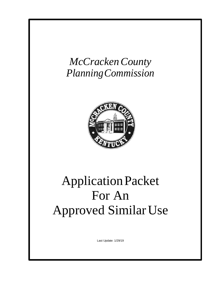

# ApplicationPacket For An Approved Similar Use

Last Update: 1/29/19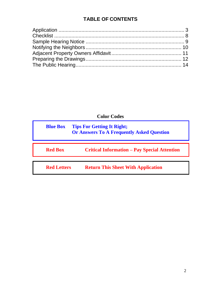# **TABLE OF CONTENTS**

**Color Codes**

| <b>Blue Box</b>    | <b>Tips For Getting It Right;</b><br><b>Or Answers To A Frequently Asked Question</b> |  |
|--------------------|---------------------------------------------------------------------------------------|--|
| <b>Red Box</b>     | <b>Critical Information – Pay Special Attention</b>                                   |  |
| <b>Red Letters</b> | <b>Return This Sheet With Application</b>                                             |  |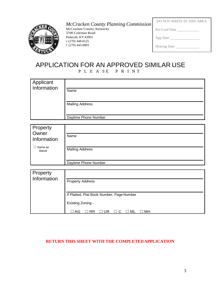## <span id="page-2-0"></span>*McCracken County Planning Commission*



McCracken County, Kentucky 3700 Coleman Road Paducah, KY 42001 v (270) 448-0125 f (270) 443-0803

| DO NOT WRITE IN THIS AREA |
|---------------------------|
| Pre-Conf Date             |
| App Date                  |
| Hearing Date              |

## APPLICATION FOR AN APPROVED SIMILAR USE P L E A S E P R I N T

| Applicant<br>Information |                        |
|--------------------------|------------------------|
|                          | Name                   |
|                          |                        |
|                          | <b>Mailing Address</b> |
|                          | Daytime Phone Number   |
|                          |                        |
| Property                 |                        |
| Owner<br>Information     | Name                   |
|                          |                        |

| . Same as<br>Above | <b>Mailing Address</b> |
|--------------------|------------------------|
|                    | Daytime Phone Number   |
|                    |                        |

| Property<br>Information | <b>Property Address</b>                   |
|-------------------------|-------------------------------------------|
|                         | If Platted, Plat Book Number, Page Number |
|                         | Existing Zoning -                         |
|                         | AG<br>ML<br>мн                            |

## **RETURN THIS SHEET WITH THE COMPLETEDAPPLICATION**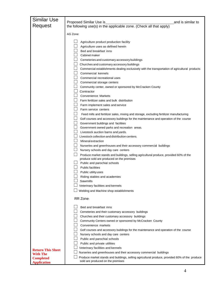| <b>Similar Use</b>                                                                                                                                                            |  |
|-------------------------------------------------------------------------------------------------------------------------------------------------------------------------------|--|
| Proposed Similar Use is<br>and is similar to<br>Request                                                                                                                       |  |
| the following use(s) in the applicable zone. (Check all that apply)                                                                                                           |  |
| AG Zone:                                                                                                                                                                      |  |
|                                                                                                                                                                               |  |
| Agriculture product production facility                                                                                                                                       |  |
| Agriculture uses as defined herein                                                                                                                                            |  |
| Bed and breakfast inns                                                                                                                                                        |  |
| Cabinet maker                                                                                                                                                                 |  |
| Cemeteries and customary accessory buildings                                                                                                                                  |  |
| Churches and customary accessory buildings<br>Commercial establishments dealing exclusively with the transportation of agricultural products                                  |  |
| Commercial kennels                                                                                                                                                            |  |
| Commercial recreational uses                                                                                                                                                  |  |
| $\Box$ Commercial storage centers                                                                                                                                             |  |
| □ Community center, owned or sponsored by McCracken County                                                                                                                    |  |
| Contractor                                                                                                                                                                    |  |
| <b>Convenience Markets</b>                                                                                                                                                    |  |
| $\Box$ Farm fertilizer sales and bulk distribution                                                                                                                            |  |
| $\Box$<br>Farm implement sales and service                                                                                                                                    |  |
| $\Box$<br>Farm service centers                                                                                                                                                |  |
| $\sqcup$<br>Feed mills and fertilizer sales, mixing and storage, excluding fertilizer manufacturing                                                                           |  |
| Golf courses and accessory buildings for the maintenance and operation of the course                                                                                          |  |
| Government buildings and facilities                                                                                                                                           |  |
| $\Box$ Government owned parks and recreation areas.                                                                                                                           |  |
| Livestock auction barns and yards.                                                                                                                                            |  |
| Livestock collection and distribution centers.                                                                                                                                |  |
| Mineralextraction                                                                                                                                                             |  |
| $\Box$ Nurseries and greenhouses and their accessory commercial buildings                                                                                                     |  |
| $\Box$ Nursery schools and day care centers                                                                                                                                   |  |
| $\Box$<br>Produce market stands and buildings, selling agricultural produce, provided 60% of the<br>produce sold are produced on the premises                                 |  |
| $\Box$ Public and parochial schools                                                                                                                                           |  |
| <b>Public facilities</b>                                                                                                                                                      |  |
| Public utility uses                                                                                                                                                           |  |
| Riding stables and academies                                                                                                                                                  |  |
| Sawmills                                                                                                                                                                      |  |
| Veterinary facilities and kennels                                                                                                                                             |  |
| Welding and Machine shop establishments                                                                                                                                       |  |
| RR Zone:                                                                                                                                                                      |  |
|                                                                                                                                                                               |  |
| Bed and breakfast inns                                                                                                                                                        |  |
| Cemeteries and their customary accessory buildings                                                                                                                            |  |
| Churches and their customary accessory buildings                                                                                                                              |  |
| Community Centers owned or sponsored by McCracken County                                                                                                                      |  |
| Convenience markets                                                                                                                                                           |  |
| Golf courses and accessory buildings for the maintenance and operation of the course                                                                                          |  |
| Nursery schools and day care centers                                                                                                                                          |  |
| Public and parochial schools                                                                                                                                                  |  |
| Public and private utilities                                                                                                                                                  |  |
| Veterinary facilities and kennels<br><b>Return This Sheet</b>                                                                                                                 |  |
| Nurseries and greenhouses and their accessory commercial buildings<br><b>With The</b>                                                                                         |  |
| Produce market stands and buildings, selling agricultural produce, provided 60% of the produce<br><b>Completed</b><br>sold are produced on the premises<br><b>Application</b> |  |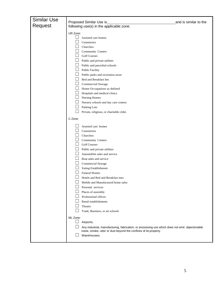| <b>Similar Use</b> |                                                                                                 |                       |
|--------------------|-------------------------------------------------------------------------------------------------|-----------------------|
| Request            | Proposed Similar Use is                                                                         | and is similar to the |
|                    | following use(s) in the applicable zone.                                                        |                       |
|                    | UR Zone:                                                                                        |                       |
|                    | Assisted care homes                                                                             |                       |
|                    | Cemeteries                                                                                      |                       |
|                    | Churches                                                                                        |                       |
|                    | Community Centers                                                                               |                       |
|                    | <b>Golf Courses</b>                                                                             |                       |
|                    | $\Box$ Public and private utilities                                                             |                       |
|                    | Public and parochial schools                                                                    |                       |
|                    | <b>Public Facility</b>                                                                          |                       |
|                    | Public parks and recreation areas                                                               |                       |
|                    | Bed and Breakfast Inn                                                                           |                       |
|                    | Commercial Storage                                                                              |                       |
|                    | Home Occupations as defined                                                                     |                       |
|                    | Hospitals and medical clinics                                                                   |                       |
|                    | Nursing Homes                                                                                   |                       |
|                    | Nursery schools and day care centers                                                            |                       |
|                    | Parking Lots                                                                                    |                       |
|                    | Private, religious, or charitable clubs                                                         |                       |
|                    | C Zone:                                                                                         |                       |
|                    | Assisted care homes                                                                             |                       |
|                    | Cemeteries                                                                                      |                       |
|                    | Churches                                                                                        |                       |
|                    | Community Centers                                                                               |                       |
|                    | <b>Golf Courses</b>                                                                             |                       |
|                    | Public and private utilities                                                                    |                       |
|                    | Automobile sales and service                                                                    |                       |
|                    | Boat sales and service                                                                          |                       |
|                    | Commercial Storage                                                                              |                       |
|                    | Eating Establishment                                                                            |                       |
|                    | <b>Funeral Homes</b>                                                                            |                       |
|                    | Hotels and Bed and Breakfast inns<br>⊔                                                          |                       |
|                    | Mobile and Manufactured home sales                                                              |                       |
|                    | Personal services                                                                               |                       |
|                    | Places of assembly                                                                              |                       |
|                    | Professional offices                                                                            |                       |
|                    | Retail establishments                                                                           |                       |
|                    | Theater                                                                                         |                       |
|                    | Trade, Business, or art schools                                                                 |                       |
|                    | ML Zone:                                                                                        |                       |
|                    | Airports.                                                                                       |                       |
|                    | Any industrial, manufacturing, fabrication, or processing use which does not emit objectionable |                       |
|                    | noise, smoke, odor or dust beyond the confines of its property.                                 |                       |
|                    | Warehouses.                                                                                     |                       |
|                    |                                                                                                 |                       |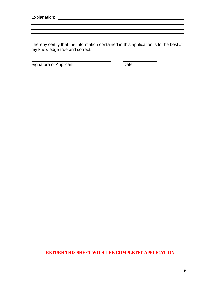Explanation:

l

I hereby certify that the information contained in this application is to the best of my knowledge true and correct.

 $\overline{a}$ 

Signature of Applicant Date

## **RETURN THIS SHEET WITH THE COMPLETEDAPPLICATION**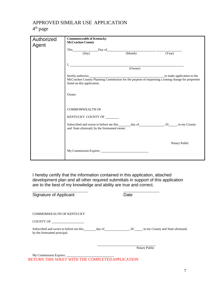# APPROVED SIMILAR USE APPLICATION

## 4<sup>th</sup> page

| Authorized | <b>Commonwealth of Kentucky</b>                                                                                                                 |         |               |
|------------|-------------------------------------------------------------------------------------------------------------------------------------------------|---------|---------------|
| Agent      | <b>McCracken County</b>                                                                                                                         |         |               |
|            | This Day of Day (Month)                                                                                                                         |         |               |
|            |                                                                                                                                                 |         | (Year)        |
|            |                                                                                                                                                 |         |               |
|            | $I, \_$                                                                                                                                         | (Owner) |               |
|            |                                                                                                                                                 |         |               |
|            | McCracken County Planning Commission for the purpose of requesting a zoning change for properties<br>listed on this application.                |         |               |
|            | Owner                                                                                                                                           |         |               |
|            | COMMOMWEALTH OF                                                                                                                                 |         |               |
|            | KENTUCKY COUNTY OF _______                                                                                                                      |         |               |
|            | Subscribed and sworn to before me this _______ day of ___________________________, in my County<br>and State aforesaid, by the forenamed owner. |         |               |
|            |                                                                                                                                                 |         |               |
|            |                                                                                                                                                 |         | Notary Public |
|            |                                                                                                                                                 |         |               |

I hereby certify that the information contained in this application, attached development plan and all other required submittals in support of this application are to the best of my knowledge and ability are true and correct.

Signature of Applicant Date COMMOMWEALTH OF KENTUCKY COUNTY OF Subscribed and sworn to before me this \_\_\_\_\_\_ day of \_\_\_\_\_\_\_\_\_\_\_\_\_\_\_\_\_\_\_\_, 20 \_\_\_\_\_, in my County and State aforesaid, by the forenamed principal.

Notary Public

My Commission Expires: RETURN THIS SHEET WITH THE COMPLETEDAPPLICATION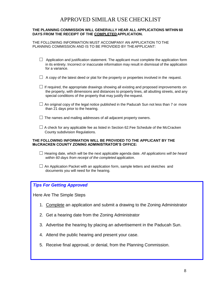# APPROVED SIMILAR USE CHECKLIST

#### <span id="page-7-0"></span>**THE PLANNING COMMISSION WILL GENERALLY HEAR ALL APPLICATIONS WITHIN 60 DAYS FROM THE RECEIPT OF THE COMPLETED APPLICATION.**

THE FOLLOWING INFORMATION MUST ACCOMPANY AN APPLICATION TO THE PLANNING COMMISSION AND IS TO BE PROVIDED BY THE APPLICANT:

- $\Box$  Application and justification statement. The applicant must complete the application form in its entirety. Incorrect or inaccurate information may result in dismissal of the application for a variance.
- $\Box$  A copy of the latest deed or plat for the property or properties involved in the request.
- $\Box$  If required, the appropriate drawings showing all existing and proposed improvements on the property, with dimensions and distances to property lines, all abutting streets, and any special conditions of the property that may justify the request.
- $\Box$  An original copy of the legal notice published in the Paducah Sun not less than 7 or more than 21 days prior to the hearing.
- $\Box$  The names and mailing addresses of all adjacent property owners.
- $\Box$  A check for any applicable fee as listed in Section 62. Fee Schedule of the McCracken County subdivision Regulations.

#### **THE FOLLOWING INFORMATION WILL BE PROVIDED TO THE APPLICANT BY THE McCRACKEN COUNTY ZONING ADMINISTRATOR'S OFFICE:**

- ☐ Hearing date, which will be the next applicable agenda date. *All applications will be heard within 60 days from receipt of the completed applicatio*n.
- $\Box$  An Application Packet with an application form, sample letters and sketches and documents you will need for the hearing.

#### *Tips For Getting Approved*

Here Are The Simple Steps

- 1. Complete an application and submit a drawing to the Zoning Administrator
- 2. Get a hearing date from the Zoning Administrator
- 3. Advertise the hearing by placing an advertisement in the Paducah Sun.
- 4. Attend the public hearing and present your case.
- 5. Receive final approval, or denial, from the Planning Commission.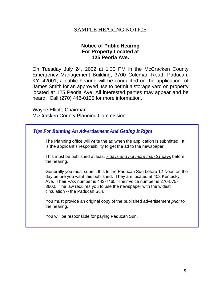## SAMPLE HEARING NOTICE

## **Notice of Public Hearing For Property Located at 125 Peoria Ave.**

<span id="page-8-0"></span>On Tuesday July 24, 2002 at 1:30 PM in the McCracken County Emergency Management Building, 3700 Coleman Road, Paducah, KY, 42001, a public hearing will be conducted on the application of James Smith for an approved use to permit a storage yard on property located at 125 Peoria Ave. All interested parties may appear and be heard. Call (270) 448-0125 for more information.

Wayne Elliott, Chairman McCracken County Planning Commission

## *Tips For Running An Advertisement And Getting It Right*

The Planning office will write the ad when the application is submitted. It is the applicant's responsibility to get the ad to the newspaper.

This must be published at least *7 days and not more than 21 days* before the hearing.

Generally you must submit this to the Paducah Sun before 12 Noon on the day before you want this published. They are located at 408 Kentucky Ave. Their FAX number is 443-7465. Their voice number is 270-575- 8600. The law requires you to use the newspaper with the widest circulation -- the Paducah Sun.

You must provide an original copy of the published advertisement *prior* to the hearing.

You will be responsible for paying Paducah Sun.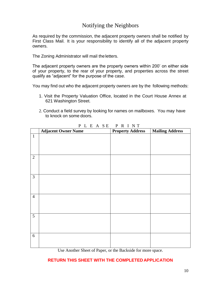# Notifying the Neighbors

<span id="page-9-0"></span>As required by the commission, the adjacent property owners shall be notified by First Class Mail. It is your responsibility to identify all of the adjacent property owners.

The Zoning Administrator will mail theletters.

The adjacent property owners are the property owners within 200' on either side of your property, to the rear of your property, and properties across the street qualify as "adjacent" for the purpose of the case.

You may find out who the adjacent property owners are by the following methods:

- 1. Visit the Property Valuation Office, located in the Court House Annex at 621 Washington Street.
- 2. Conduct a field survey by looking for names on mailboxes. You may have to knock on some doors.

|                | <b>Adjacent Owner Name</b> | <b>Property Address</b> | <b>Mailing Address</b> |
|----------------|----------------------------|-------------------------|------------------------|
| $\mathbf{1}$   |                            |                         |                        |
|                |                            |                         |                        |
|                |                            |                         |                        |
|                |                            |                         |                        |
| $\overline{2}$ |                            |                         |                        |
|                |                            |                         |                        |
|                |                            |                         |                        |
|                |                            |                         |                        |
| $\mathfrak{Z}$ |                            |                         |                        |
|                |                            |                         |                        |
|                |                            |                         |                        |
|                |                            |                         |                        |
| $\overline{4}$ |                            |                         |                        |
|                |                            |                         |                        |
|                |                            |                         |                        |
| $\overline{5}$ |                            |                         |                        |
|                |                            |                         |                        |
|                |                            |                         |                        |
|                |                            |                         |                        |
| $6\,$          |                            |                         |                        |
|                |                            |                         |                        |
|                |                            |                         |                        |

P L E A S E P R I N T

Use Another Sheet of Paper, or the Backside for more space.

### **RETURN THIS SHEET WITH THE COMPLETED APPLICATION**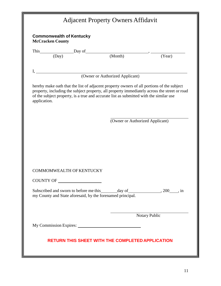<span id="page-10-0"></span>

|              | <b>McCracken County</b> |                                 |                                                                                        |               |
|--------------|-------------------------|---------------------------------|----------------------------------------------------------------------------------------|---------------|
|              |                         |                                 | This Day of $\frac{y}{y}$ Day of $\frac{y}{y}$ (Month) (Year)                          |               |
|              |                         |                                 |                                                                                        |               |
|              |                         |                                 | (Owner or Authorized Applicant)                                                        |               |
| application. |                         |                                 | of the subject property, is a true and accurate list as submitted with the similar use |               |
|              |                         |                                 | (Owner or Authorized Applicant)                                                        |               |
|              |                         |                                 |                                                                                        |               |
|              |                         | <b>COMMOMWEALTH OF KENTUCKY</b> |                                                                                        |               |
|              |                         | COUNTY OF                       |                                                                                        |               |
|              |                         |                                 | my County and State aforesaid, by the forenamed principal.                             |               |
|              |                         |                                 |                                                                                        | Notary Public |
|              |                         |                                 |                                                                                        |               |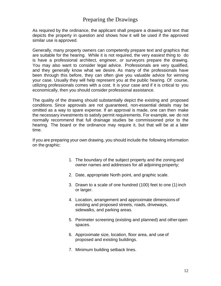## Preparing the Drawings

<span id="page-11-0"></span>As required by the ordinance, the applicant shall prepare a drawing and text that depicts the property in question and shows how it will be used if the approved similar use is approved.

Generally, many property owners can competently prepare text and graphics that are suitable for the hearing. While it is not required, the very *easiest* thing to do is have a professional architect, engineer, or surveyors prepare the drawing. You may also want to consider legal advice. Professionals are very qualified, and they generally know what we desire. As many of the professionals have been through this before, they can often give you valuable advice for winning your case. Usually they will help represent you at the public hearing. Of course, utilizing professionals comes with a cost. It is your case and if it is critical to you economically, then you should consider professional assistance.

The quality of the drawing should substantially depict the existing and proposed conditions. Since approvals are not guaranteed, non-essential details may be omitted as a way to spare expense. If an approval is made, one can then make the necessary investments to satisfy permit requirements. For example, we do not normally recommend that full drainage studies be commissioned prior to the hearing. The board or the ordinance may require it, but that will be at a later time.

If you are preparing your own drawing, you should include the following information on the graphic:

- 1. The boundary of the subject property and the zoning and owner names and addresses for all adjoining property;
- 2. Date, appropriate North point, and graphic scale.
- 3. Drawn to a scale of one hundred (100) feet to one (1) inch or larger.
- 4. Location, arrangement and approximate dimensions of existing and proposed streets, roads, driveways, sidewalks, and parking areas.
- 5. Perimeter screening (existing and planned) and otheropen spaces.
- 6. Approximate size, location, floor area, and use of proposed and existing buildings.
- 7. Minimum building setback lines.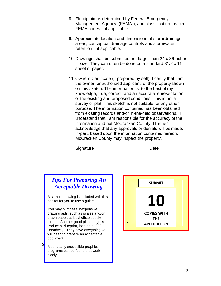- 8. Floodplain as determined by Federal Emergency Management Agency, (FEMA.), and classification, as per FEMA codes – if applicable.
- 9. Approximate location and dimensions of storm drainage areas, conceptual drainage controls and stormwater retention – if applicable.
- 10. Drawings shall be submitted not larger than 24 x 36 inches in size. They can often be done on a standard 81/2 x 11 sheet of paper.
- 11.Owners Certificate (if prepared by self): I certify that I am the owner, or authorized applicant, of the property shown on this sketch. The information is, to the best of my knowledge, true, correct, and an accurate representation of the existing and proposed conditions. This is not a survey or plat. This sketch is not suitable for any other purpose. The information contained has been obtained from existing records and/or in-the-field observations. I understand that I am responsible for the accuracy of the information and not McCracken County. I further acknowledge that any approvals or denials will be made, in-part, based upon the information contained hereon. McCracken County may inspect the property.

Signature Date

# *Tips For Preparing An Acceptable Drawing*

A sample drawing is included with this packet for you to use a guide.

You may purchase inexpensive drawing aids, such as scales and/or graph paper, at local office supply stores. Another good place to go is Paducah Blueprint, located at 999 Broadway. They have everything you will need to prepare an acceptable document.

Also readily accessible graphics programs can be found that work nicely.

S